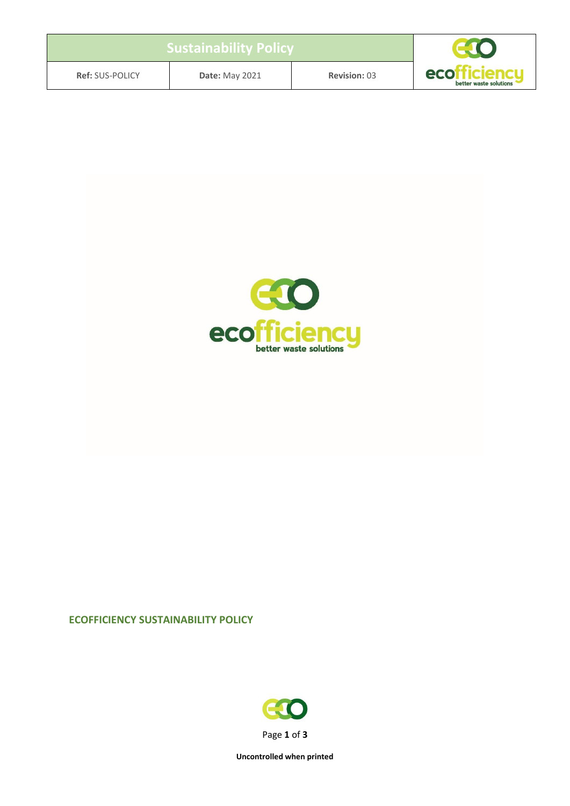| <b>Sustainability Policy</b> |                       |                     |                               |
|------------------------------|-----------------------|---------------------|-------------------------------|
| <b>Ref: SUS-POLICY</b>       | <b>Date: May 2021</b> | <b>Revision: 03</b> | eco<br>better waste solutions |



## **ECOFFICIENCY SUSTAINABILITY POLICY**



**Uncontrolled when printed**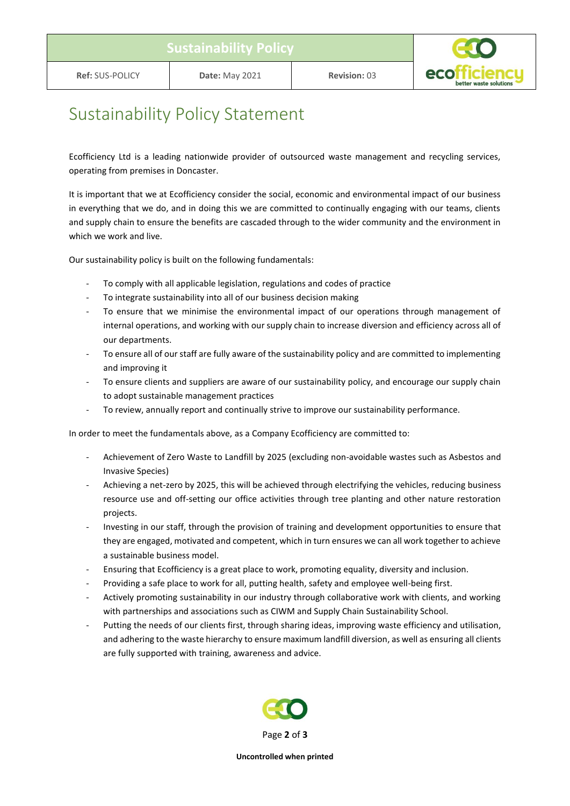

## Sustainability Policy Statement

Ecofficiency Ltd is a leading nationwide provider of outsourced waste management and recycling services, operating from premises in Doncaster.

It is important that we at Ecofficiency consider the social, economic and environmental impact of our business in everything that we do, and in doing this we are committed to continually engaging with our teams, clients and supply chain to ensure the benefits are cascaded through to the wider community and the environment in which we work and live.

Our sustainability policy is built on the following fundamentals:

- To comply with all applicable legislation, regulations and codes of practice
- To integrate sustainability into all of our business decision making
- To ensure that we minimise the environmental impact of our operations through management of internal operations, and working with our supply chain to increase diversion and efficiency across all of our departments.
- To ensure all of our staff are fully aware of the sustainability policy and are committed to implementing and improving it
- To ensure clients and suppliers are aware of our sustainability policy, and encourage our supply chain to adopt sustainable management practices
- To review, annually report and continually strive to improve our sustainability performance.

In order to meet the fundamentals above, as a Company Ecofficiency are committed to:

- Achievement of Zero Waste to Landfill by 2025 (excluding non-avoidable wastes such as Asbestos and Invasive Species)
- Achieving a net-zero by 2025, this will be achieved through electrifying the vehicles, reducing business resource use and off-setting our office activities through tree planting and other nature restoration projects.
- Investing in our staff, through the provision of training and development opportunities to ensure that they are engaged, motivated and competent, which in turn ensures we can all work together to achieve a sustainable business model.
- Ensuring that Ecofficiency is a great place to work, promoting equality, diversity and inclusion.
- Providing a safe place to work for all, putting health, safety and employee well-being first.
- Actively promoting sustainability in our industry through collaborative work with clients, and working with partnerships and associations such as CIWM and Supply Chain Sustainability School.
- Putting the needs of our clients first, through sharing ideas, improving waste efficiency and utilisation, and adhering to the waste hierarchy to ensure maximum landfill diversion, as well as ensuring all clients are fully supported with training, awareness and advice.



**Uncontrolled when printed**